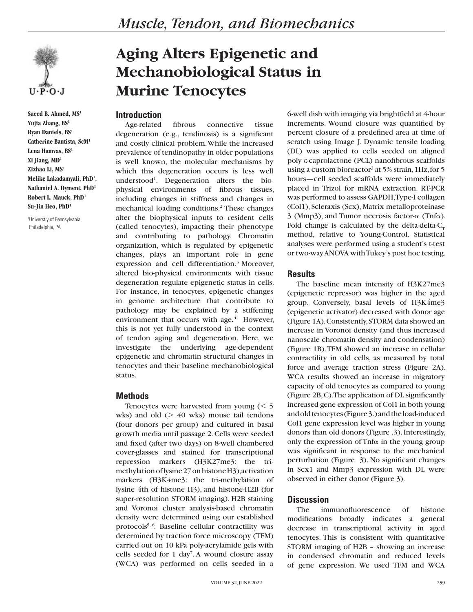

**Saeed B. Ahmed, MS1 Yujia Zhang, BS1 Ryan Daniels, BS1 Catherine Bautista, ScM1 Lena Hamvas, BS1 Xi Jiang, MD1 Zizhao Li, MS1 Melike Lakadamyali, PhD1 , Nathaniel A. Dyment, PhD1 Robert L. Mauck, PhD1 Su-Jin Heo, PhD1**

1 Universtiy of Pennsylvania, Philadelphia, PA

# **Aging Alters Epigenetic and Mechanobiological Status in Murine Tenocytes**

## **Introduction**

Age-related fibrous connective tissue degeneration (e.g., tendinosis) is a significant and costly clinical problem. While the increased prevalence of tendinopathy in older populations is well known, the molecular mechanisms by which this degeneration occurs is less well understood<sup>1</sup>. Degeneration alters the biophysical environments of fibrous tissues, including changes in stiffness and changes in mechanical loading conditions.<sup>2</sup> These changes alter the biophysical inputs to resident cells (called tenocytes), impacting their phenotype and contributing to pathology. Chromatin organization, which is regulated by epigenetic changes, plays an important role in gene expression and cell differentiation.<sup>3</sup> Moreover, altered bio-physical environments with tissue degeneration regulate epigenetic status in cells. For instance, in tenocytes, epigenetic changes in genome architecture that contribute to pathology may be explained by a stiffening environment that occurs with age**. 4** However, this is not yet fully understood in the context of tendon aging and degeneration. Here, we investigate the underlying age-dependent epigenetic and chromatin structural changes in tenocytes and their baseline mechanobiological status.

#### **Methods**

Tenocytes were harvested from young  $(< 5$ wks) and old  $($  40 wks) mouse tail tendons (four donors per group) and cultured in basal growth media until passage 2. Cells were seeded and fixed (after two days) on 8-well chambered cover-glasses and stained for transcriptional repression markers (H3K27me3: the trimethylation of lysine 27 on histone H3), activation markers (H3K4me3: the tri-methylation of lysine 4th of histone H3), and histone-H2B (for super-resolution STORM imaging). H2B staining and Voronoi cluster analysis-based chromatin density were determined using our established protocols<sup>5, 6</sup>. Baseline cellular contractility was determined by traction force microscopy (TFM) carried out on 10 kPa poly-acrylamide gels with cells seeded for 1 day<sup>7</sup>. A wound closure assay (WCA) was performed on cells seeded in a

6-well dish with imaging via brightfield at 4-hour increments. Wound closure was quantified by percent closure of a predefined area at time of scratch using Image J. Dynamic tensile loading (DL) was applied to cells seeded on aligned poly ε-caprolactone (PCL) nanofibrous scaffolds using a custom bioreactor<sup>3</sup> at 5% strain, 1Hz, for 5 hours—cell seeded scaffolds were immediately placed in Trizol for mRNA extraction. RT-PCR was performed to assess GAPDH, Type-I collagen (Col1), Scleraxis (Scx), Matrix metalloproteinase  $3$  (Mmp3), and Tumor necrosis factor- $\alpha$  (Tnf $\alpha$ ). Fold change is calculated by the delta-delta- $C_T$ method, relative to Young-Control. Statistical analyses were performed using a student's t-test or two-way ANOVA with Tukey's post hoc testing.

### **Results**

The baseline mean intensity of H3K27me3 (epigenetic repressor) was higher in the aged group. Conversely, basal levels of H3K4me3 (epigenetic activator) decreased with donor age (Figure 1A). Consistently, STORM data showed an increase in Voronoi density (and thus increased nanoscale chromatin density and condensation) (Figure 1B). TFM showed an increase in cellular contractility in old cells, as measured by total force and average traction stress (Figure 2A). WCA results showed an increase in migratory capacity of old tenocytes as compared to young (Figure 2B, C). The application of DL significantly increased gene expression of Col1 in both young and old tenocytes (Figure 3.) and the load-induced Col1 gene expression level was higher in young donors than old donors (Figure .3). Interestingly, only the expression of  $Tnfa$  in the young group was significant in response to the mechanical perturbation (Figure 3). No significant changes in Scx1 and Mmp3 expression with DL were observed in either donor (Figure 3).

# **Discussion**

The immunofluorescence of histone modifications broadly indicates a general decrease in transcriptional activity in aged tenocytes. This is consistent with quantitative STORM imaging of H2B – showing an increase in condensed chromatin and reduced levels of gene expression. We used TFM and WCA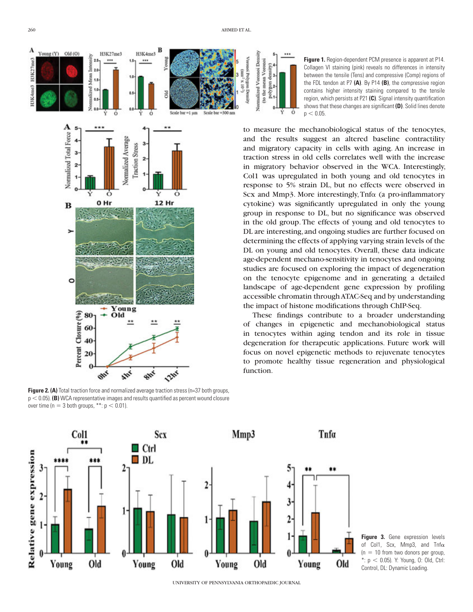

**Figure 2. (A)** Total traction force and normalized average traction stress (n=37 both groups,  $p < 0.05$ ). **(B)** WCA representative images and results quantified as percent wound closure over time ( $n = 3$  both groups, \*\*:  $p < 0.01$ ).

 $\overline{\mathbf{c}}$ 

**Scx** 

Old

Ctrl

 $\Box$  DL

Young

Col1

Relative gene expression

\*\*

\*\*\*

Old

Young



260 AHMED ET AL.

UNIVERSITY OF PENNSYLVANIA ORTHOPAEDIC JOURNAL

Young

Old

Mmp3

2

Tnfa

\*\*

Old

Young

3